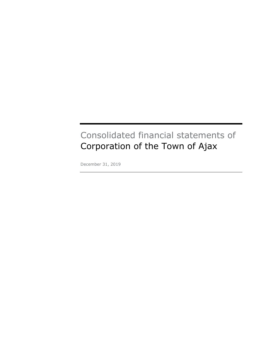# Consolidated financial statements of Corporation of the Town of Ajax

December 31, 2019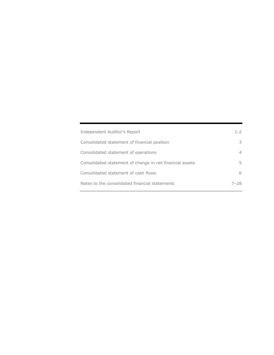| Independent Auditor's Report                             | $1 - 2$  |
|----------------------------------------------------------|----------|
| Consolidated statement of financial position             | 3        |
| Consolidated statement of operations                     | 4        |
| Consolidated statement of change in net financial assets | 5.       |
| Consolidated statement of cash flows                     | 6        |
| Notes to the consolidated financial statements           | $7 - 28$ |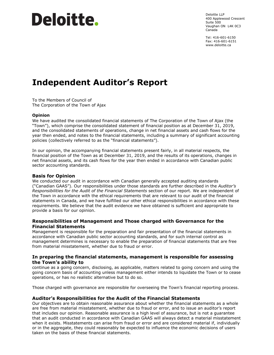# Deloitte.

Deloitte LLP 400 Applewood Crescent Suite 500 Vaughan ON L4K 0C3 Canada

Tel: 416-601-6150 Fax: 416-601-6151 www.deloitte.ca

# **Independent Auditor's Report**

To the Members of Council of The Corporation of the Town of Ajax

#### **Opinion**

We have audited the consolidated financial statements of The Corporation of the Town of Ajax (the "Town"), which comprise the consolidated statement of financial position as at December 31, 2019, and the consolidated statements of operations, change in net financial assets and cash flows for the year then ended, and notes to the financial statements, including a summary of significant accounting policies (collectively referred to as the "financial statements").

In our opinion, the accompanying financial statements present fairly, in all material respects, the financial position of the Town as at December 31, 2019, and the results of its operations, changes in net financial assets, and its cash flows for the year then ended in accordance with Canadian public sector accounting standards.

#### **Basis for Opinion**

We conducted our audit in accordance with Canadian generally accepted auditing standards ("Canadian GAAS"). Our responsibilities under those standards are further described in the *Auditor's Responsibilities for the Audit of the Financial Statements* section of our report. We are independent of the Town in accordance with the ethical requirements that are relevant to our audit of the financial statements in Canada, and we have fulfilled our other ethical responsibilities in accordance with these requirements. We believe that the audit evidence we have obtained is sufficient and appropriate to provide a basis for our opinion.

#### **Responsibilities of Management and Those charged with Governance for the Financial Statements**

Management is responsible for the preparation and fair presentation of the financial statements in accordance with Canadian public sector accounting standards, and for such internal control as management determines is necessary to enable the preparation of financial statements that are free from material misstatement, whether due to fraud or error.

#### **In preparing the financial statements, management is responsible for assessing the Town's ability to**

continue as a going concern, disclosing, as applicable, matters related to going concern and using the going concern basis of accounting unless management either intends to liquidate the Town or to cease operations, or has no realistic alternative but to do so.

Those charged with governance are responsible for overseeing the Town's financial reporting process.

## **Auditor's Responsibilities for the Audit of the Financial Statements**

Our objectives are to obtain reasonable assurance about whether the financial statements as a whole are free from material misstatement, whether due to fraud or error, and to issue an auditor's report that includes our opinion. Reasonable assurance is a high level of assurance, but is not a guarantee that an audit conducted in accordance with Canadian GAAS will always detect a material misstatement when it exists. Misstatements can arise from fraud or error and are considered material if, individually or in the aggregate, they could reasonably be expected to influence the economic decisions of users taken on the basis of these financial statements.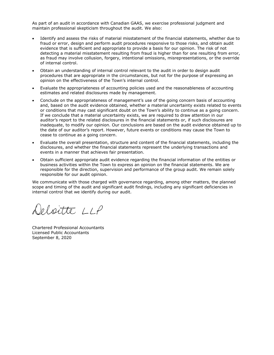As part of an audit in accordance with Canadian GAAS, we exercise professional judgment and maintain professional skepticism throughout the audit. We also:

- Identify and assess the risks of material misstatement of the financial statements, whether due to fraud or error, design and perform audit procedures responsive to those risks, and obtain audit evidence that is sufficient and appropriate to provide a basis for our opinion. The risk of not detecting a material misstatement resulting from fraud is higher than for one resulting from error, as fraud may involve collusion, forgery, intentional omissions, misrepresentations, or the override of internal control.
- Obtain an understanding of internal control relevant to the audit in order to design audit procedures that are appropriate in the circumstances, but not for the purpose of expressing an opinion on the effectiveness of the Town's internal control.
- Evaluate the appropriateness of accounting policies used and the reasonableness of accounting estimates and related disclosures made by management.
- Conclude on the appropriateness of management's use of the going concern basis of accounting and, based on the audit evidence obtained, whether a material uncertainty exists related to events or conditions that may cast significant doubt on the Town's ability to continue as a going concern. If we conclude that a material uncertainty exists, we are required to draw attention in our auditor's report to the related disclosures in the financial statements or, if such disclosures are inadequate, to modify our opinion. Our conclusions are based on the audit evidence obtained up to the date of our auditor's report. However, future events or conditions may cause the Town to cease to continue as a going concern.
- Evaluate the overall presentation, structure and content of the financial statements, including the disclosures, and whether the financial statements represent the underlying transactions and events in a manner that achieves fair presentation.
- Obtain sufficient appropriate audit evidence regarding the financial information of the entities or business activities within the Town to express an opinion on the financial statements. We are responsible for the direction, supervision and performance of the group audit. We remain solely responsible for our audit opinion.

We communicate with those charged with governance regarding, among other matters, the planned scope and timing of the audit and significant audit findings, including any significant deficiencies in internal control that we identify during our audit.

eloitte LLP

Chartered Professional Accountants Licensed Public Accountants September 8, 2020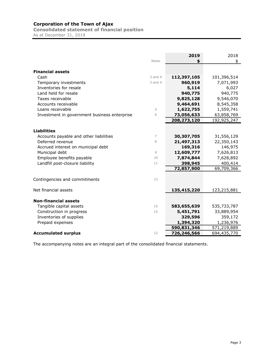**Consolidated statement of financial position** As at December 31, 2019

|                                              | <b>Notes</b> | 2019<br>\$  | 2018<br>\$  |
|----------------------------------------------|--------------|-------------|-------------|
| <b>Financial assets</b>                      |              |             |             |
| Cash                                         | $3$ and $4$  | 112,397,105 | 101,396,514 |
| Temporary investments                        | $3$ and $4$  | 960,919     | 7,071,993   |
| Inventories for resale                       |              | 5,114       | 6,027       |
| Land held for resale                         |              | 940,775     | 940,775     |
| Taxes receivable                             |              | 9,825,128   | 9,546,070   |
| Accounts receivable                          |              | 9,464,691   | 8,545,358   |
| Loans receivable                             | 5            | 1,622,755   | 1,559,741   |
| Investment in government business enterprise | 6            | 73,056,633  | 63,858,769  |
|                                              |              | 208,273,120 | 192,925,247 |
|                                              |              |             |             |
| <b>Liabilities</b>                           |              |             |             |
| Accounts payable and other liabilities       | 7            | 30,307,705  | 31,556,129  |
| Deferred revenue                             | 8            | 21,497,313  | 22,350,143  |
| Accrued interest on municipal debt           |              | 169,316     | 146,975     |
| Municipal debt                               | 9            | 12,609,777  | 7,626,813   |
| Employee benefits payable                    | 10           | 7,874,844   | 7,628,892   |
| Landfill post-closure liability              | 11           | 398,945     | 400,414     |
|                                              |              | 72,857,900  | 69,709,366  |
| Contingencies and commitments                | 13           |             |             |
| Net financial assets                         |              | 135,415,220 | 123,215,881 |
| <b>Non-financial assets</b>                  |              |             |             |
| Tangible capital assets                      | 15           | 583,655,639 | 535,733,787 |
| Construction in progress                     | 15           | 5,451,791   | 33,889,954  |
| Inventories of supplies                      |              | 329,596     | 359,172     |
| Prepaid expenses                             |              | 1,394,320   | 1,236,976   |
|                                              |              | 590,831,346 | 571,219,889 |
| <b>Accumulated surplus</b>                   | 12           | 726,246,566 | 694,435,770 |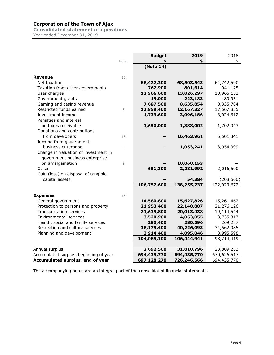**Consolidated statement of operations** Year ended December 31, 2019

|                                        | <b>Notes</b> | <b>Budget</b> | 2019<br>\$  | 2018<br>\$  |
|----------------------------------------|--------------|---------------|-------------|-------------|
|                                        |              | (Note 14)     |             |             |
|                                        |              |               |             |             |
| Revenue                                | 16           |               |             |             |
| Net taxation                           |              | 68,422,300    | 68,503,543  | 64,742,590  |
| Taxation from other governments        |              | 762,900       | 801,614     | 941,125     |
| User charges                           |              | 12,966,600    | 13,026,297  | 13,965,152  |
| Government grants                      |              | 19,000        | 223,183     | 480,931     |
| Gaming and casino revenue              |              | 7,687,500     | 8,635,854   | 8,335,704   |
| Restricted funds earned                | 8            | 12,858,400    | 12,167,327  | 17,567,835  |
| Investment income                      |              | 1,739,600     | 3,096,186   | 3,024,612   |
| Penalties and interest                 |              |               |             |             |
| on taxes receivable                    |              | 1,650,000     | 1,888,002   | 1,702,043   |
| Donations and contributions            |              |               |             |             |
| from developers                        | 15           |               | 16,463,961  | 5,501,341   |
| Income from government                 |              |               |             |             |
| business enterprise                    | 6            |               | 1,053,241   | 3,954,399   |
| Change in valuation of investment in   |              |               |             |             |
| government business enterprise         |              |               |             |             |
| on amalgamation                        | 6            |               | 10,060,153  |             |
| Other                                  |              | 651,300       | 2,281,992   | 2,016,500   |
| Gain (loss) on disposal of tangible    |              |               |             |             |
| capital assets                         |              |               | 54,384      | (208, 560)  |
|                                        |              | 106,757,600   | 138,255,737 | 122,023,672 |
|                                        |              |               |             |             |
| <b>Expenses</b>                        | 16           |               |             |             |
| General government                     |              | 14,580,800    | 15,627,826  | 15,261,462  |
| Protection to persons and property     |              | 21,953,400    | 22,148,887  | 21,276,126  |
| Transportation services                |              | 21,639,800    | 20,013,438  | 19,114,544  |
| Environmental services                 |              | 3,520,900     | 4,053,055   | 3,735,317   |
| Health, social and family services     |              | 280,400       | 280,596     | 269,287     |
| Recreation and culture services        |              | 38,175,400    | 40,226,093  | 34,562,085  |
| Planning and development               |              | 3,914,400     | 4,095,046   | 3,995,598   |
|                                        |              | 104,065,100   | 106,444,941 | 98,214,419  |
|                                        |              |               |             |             |
| Annual surplus                         |              | 2,692,500     | 31,810,796  | 23,809,253  |
| Accumulated surplus, beginning of year |              | 694,435,770   | 694,435,770 | 670,626,517 |
| Accumulated surplus, end of year       |              | 697,128,270   | 726,246,566 | 694,435,770 |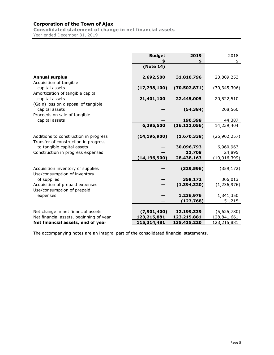**Consolidated statement of change in net financial assets** Year ended December 31, 2019

|                                                                               | <b>Budget</b>              | 2019<br>\$                 | 2018<br>\$                 |
|-------------------------------------------------------------------------------|----------------------------|----------------------------|----------------------------|
|                                                                               | (Note 14)                  |                            |                            |
| <b>Annual surplus</b>                                                         | 2,692,500                  | 31,810,796                 | 23,809,253                 |
| Acquisition of tangible<br>capital assets                                     | (17,798,100)               | (70, 502, 871)             | (30, 345, 306)             |
| Amortization of tangible capital                                              |                            |                            |                            |
| capital assets                                                                | 21,401,100                 | 22,445,005                 | 20,522,510                 |
| (Gain) loss on disposal of tangible<br>capital assets                         |                            | (54, 384)                  | 208,560                    |
| Proceeds on sale of tangible                                                  |                            |                            |                            |
| capital assets                                                                |                            | 190,398                    | 44,387                     |
|                                                                               | 6,295,500                  | (16, 111, 056)             | $\overline{14,}$ 239,404   |
| Additions to construction in progress<br>Transfer of construction in progress | (14, 196, 900)             | (1,670,338)                | (26,902,257)               |
| to tangible capital assets                                                    |                            | 30,096,793                 | 6,960,963                  |
| Construction in progress expensed                                             |                            | 11,708                     | 24,895                     |
|                                                                               | (14, 196, 900)             | 28,438,163                 | (19, 916, 399)             |
| Acquisition inventory of supplies<br>Use/consumption of inventory             |                            | (329, 596)                 | (359, 172)                 |
| of supplies                                                                   |                            | 359,172                    | 306,013                    |
| Acquisition of prepaid expenses                                               |                            | (1, 394, 320)              | (1, 236, 976)              |
| Use/consumption of prepaid<br>expenses                                        |                            | 1,236,976                  | 1,341,350                  |
|                                                                               |                            | (127, 768)                 | 51,215                     |
|                                                                               |                            |                            |                            |
| Net change in net financial assets<br>Net financial assets, beginning of year | (7,901,400)<br>123,215,881 | 12,199,339                 | (5,625,780)                |
| Net financial assets, end of year                                             | 115,314,481                | 123,215,881<br>135,415,220 | 128,841,661<br>123,215,881 |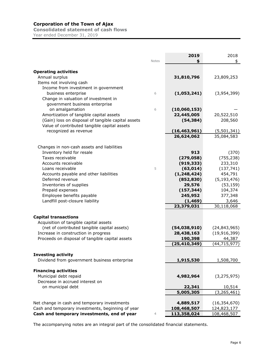**Consolidated statement of cash flows** Year ended December 31, 2019

|                                                                         |              | 2019                | 2018                    |
|-------------------------------------------------------------------------|--------------|---------------------|-------------------------|
|                                                                         | <b>Notes</b> | S                   | \$                      |
| <b>Operating activities</b>                                             |              |                     |                         |
| Annual surplus                                                          |              | 31,810,796          | 23,809,253              |
| Items not involving cash                                                |              |                     |                         |
| Income from investment in government                                    |              |                     |                         |
| business enterprise                                                     | 6            | (1,053,241)         | (3,954,399)             |
| Change in valuation of investment in                                    |              |                     |                         |
| government business enterprise                                          |              |                     |                         |
| on amalgamation                                                         | 6            | (10,060,153)        |                         |
| Amortization of tangible capital assets                                 |              | 22,445,005          | 20,522,510              |
| (Gain) loss on disposal of tangible capital assets                      |              | (54, 384)           | 208,560                 |
| Value of contributed tangible capital assets                            |              |                     |                         |
| recognized as revenue                                                   |              | (16, 463, 961)      | (5,501,341)             |
|                                                                         |              | 26,624,062          | 35,084,583              |
|                                                                         |              |                     |                         |
| Changes in non-cash assets and liabilities<br>Inventory held for resale |              | 913                 | (370)                   |
| Taxes receivable                                                        |              | (279, 058)          | (755, 238)              |
| Accounts receivable                                                     |              | (919, 333)          | 233,310                 |
| Loans receivable                                                        | 5            | (63, 014)           | (137, 741)              |
| Accounts payable and other liabilities                                  |              | (1, 248, 424)       | 454,791                 |
| Deferred revenue                                                        |              | (852, 830)          | (5, 193, 476)           |
| Inventories of supplies                                                 |              | 29,576              | (53, 159)               |
| Prepaid expenses                                                        |              | (157, 344)          | 104,374                 |
| Employee benefits payable                                               |              | 245,952             | 377,348                 |
| Landfill post-closure liability                                         |              | (1, 469)            | 3,646                   |
|                                                                         |              | 23,379,031          | 30,118,068              |
| <b>Capital transactions</b>                                             |              |                     |                         |
| Acquisition of tangible capital assets                                  |              |                     |                         |
| (net of contributed tangible capital assets)                            |              | (54,038,910)        | (24, 843, 965)          |
| Increase in construction in progress                                    |              | 28,438,163          | (19, 916, 399)          |
| Proceeds on disposal of tangible capital assets                         |              | 190,398             | 44,387                  |
|                                                                         |              | (25, 410, 349)      | (44, 715, 977)          |
| <b>Investing activity</b>                                               |              |                     |                         |
| Dividend from government business enterprise                            |              | 1,915,530           | 1,508,700               |
|                                                                         |              |                     |                         |
| <b>Financing activities</b>                                             |              |                     |                         |
| Municipal debt repaid                                                   |              | 4,982,964           | (3, 275, 975)           |
| Decrease in accrued interest on                                         |              |                     |                         |
| on municipal debt                                                       |              | 22,341<br>5,005,305 | 10,514<br>(3, 265, 461) |
|                                                                         |              |                     |                         |
| Net change in cash and temporary investments                            |              | 4,889,517           | (16, 354, 670)          |
| Cash and temporary investments, beginning of year                       |              | 108,468,507         | 124,823,177             |
| Cash and temporary investments, end of year                             | 4            | 113,358,024         | 108,468,507             |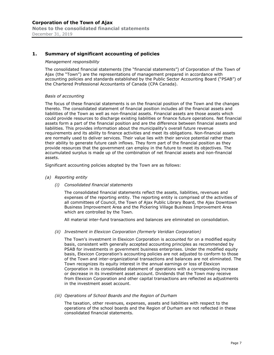## **1. Summary of significant accounting of policies**

#### *Management responsibility*

The consolidated financial statements (the "financial statements") of Corporation of the Town of Ajax (the "Town") are the representations of management prepared in accordance with accounting policies and standards established by the Public Sector Accounting Board ("PSAB") of the Chartered Professional Accountants of Canada (CPA Canada).

#### *Basis of accounting*

The focus of these financial statements is on the financial position of the Town and the changes thereto. The consolidated statement of financial position includes all the financial assets and liabilities of the Town as well as non-financial assets. Financial assets are those assets which could provide resources to discharge existing liabilities or finance future operations. Net financial assets form a part of the financial position and are the difference between financial assets and liabilities. This provides information about the municipality's overall future revenue requirements and its ability to finance activities and meet its obligations. Non-financial assets are normally used to deliver services. Their value lies with their service potential rather than their ability to generate future cash inflows. They form part of the financial position as they provide resources that the government can employ in the future to meet its objectives. The accumulated surplus is made up of the combination of net financial assets and non-financial assets.

Significant accounting policies adopted by the Town are as follows:

- *(a) Reporting entity* 
	- *(i) Consolidated financial statements*

The consolidated financial statements reflect the assets, liabilities, revenues and expenses of the reporting entity. The reporting entity is comprised of the activities of all committees of Council, the Town of Ajax Public Library Board, the Ajax Downtown Business Improvement Area and the Pickering Village Business Improvement Area which are controlled by the Town.

All material inter-fund transactions and balances are eliminated on consolidation.

*(ii) Investment in Elexicon Corporation (formerly Veridian Corporation)* 

The Town's investment in Elexicon Corporation is accounted for on a modified equity basis, consistent with generally accepted accounting principles as recommended by PSAB for investments in government business enterprises. Under the modified equity basis, Elexicon Corporation's accounting policies are not adjusted to conform to those of the Town and inter-organizational transactions and balances are not eliminated. The Town recognizes its equity interest in the annual earnings or loss of Elexicon Corporation in its consolidated statement of operations with a corresponding increase or decrease in its investment asset account. Dividends that the Town may receive from Elexicon Corporation and other capital transactions are reflected as adjustments in the investment asset account.

*(iii) Operations of School Boards and the Region of Durham* 

The taxation, other revenues, expenses, assets and liabilities with respect to the operations of the school boards and the Region of Durham are not reflected in these consolidated financial statements.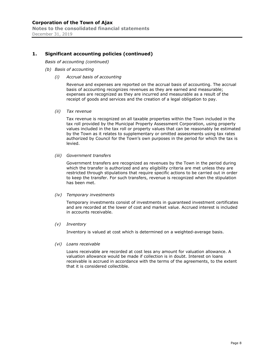# **Corporation of the Town of Ajax Notes to the consolidated financial statements**  December 31, 2019

# **1. Significant accounting policies (continued)**

*Basis of accounting (continued)* 

#### *(b) Basis of accounting*

*(i) Accrual basis of accounting* 

Revenue and expenses are reported on the accrual basis of accounting. The accrual basis of accounting recognizes revenues as they are earned and measurable; expenses are recognized as they are incurred and measurable as a result of the receipt of goods and services and the creation of a legal obligation to pay.

#### *(ii) Tax revenue*

Tax revenue is recognized on all taxable properties within the Town included in the tax roll provided by the Municipal Property Assessment Corporation, using property values included in the tax roll or property values that can be reasonably be estimated by the Town as it relates to supplementary or omitted assessments using tax rates authorized by Council for the Town's own purposes in the period for which the tax is levied.

*(iii) Government transfers* 

Government transfers are recognized as revenues by the Town in the period during which the transfer is authorized and any eligibility criteria are met unless they are restricted through stipulations that require specific actions to be carried out in order to keep the transfer. For such transfers, revenue is recognized when the stipulation has been met.

#### *(iv) Temporary investments*

Temporary investments consist of investments in guaranteed investment certificates and are recorded at the lower of cost and market value. Accrued interest is included in accounts receivable.

*(v) Inventory* 

Inventory is valued at cost which is determined on a weighted-average basis.

*(vi) Loans receivable* 

Loans receivable are recorded at cost less any amount for valuation allowance. A valuation allowance would be made if collection is in doubt. Interest on loans receivable is accrued in accordance with the terms of the agreements, to the extent that it is considered collectible.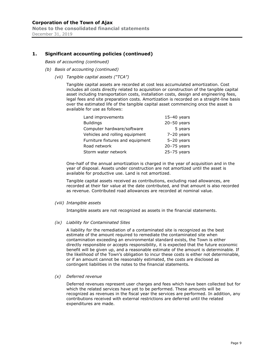**Notes to the consolidated financial statements**  December 31, 2019

## **1. Significant accounting policies (continued)**

*Basis of accounting (continued)* 

- *(b) Basis of accounting (continued)* 
	- *(vii) Tangible capital assets ("TCA")*

Tangible capital assets are recorded at cost less accumulated amortization. Cost includes all costs directly related to acquisition or construction of the tangible capital asset including transportation costs, installation costs, design and engineering fees, legal fees and site preparation costs. Amortization is recorded on a straight-line basis over the estimated life of the tangible capital asset commencing once the asset is available for use as follows:

| Land improvements                | $15-40$ years |
|----------------------------------|---------------|
| <b>Buildings</b>                 | $20-50$ years |
| Computer hardware/software       | 5 years       |
| Vehicles and rolling equipment   | $7-20$ years  |
| Furniture fixtures and equipment | $5-20$ years  |
| Road network                     | $20-75$ years |
| Storm water network              | $25-75$ years |

One-half of the annual amortization is charged in the year of acquisition and in the year of disposal. Assets under construction are not amortized until the asset is available for productive use. Land is not amortized.

Tangible capital assets received as contributions, excluding road allowances, are recorded at their fair value at the date contributed, and that amount is also recorded as revenue. Contributed road allowances are recorded at nominal value.

#### *(viii) Intangible assets*

Intangible assets are not recognized as assets in the financial statements.

#### *(ix) Liability for Contaminated Sites*

A liability for the remediation of a contaminated site is recognized as the best estimate of the amount required to remediate the contaminated site when contamination exceeding an environmental standard exists, the Town is either directly responsible or accepts responsibility, it is expected that the future economic benefit will be given up, and a reasonable estimate of the amount is determinable. If the likelihood of the Town's obligation to incur these costs is either not determinable, or if an amount cannot be reasonably estimated, the costs are disclosed as contingent liabilities in the notes to the financial statements.

#### *(x) Deferred revenue*

Deferred revenues represent user charges and fees which have been collected but for which the related services have yet to be performed. These amounts will be recognized as revenues in the fiscal year the services are performed. In addition, any contributions received with external restrictions are deferred until the related expenditures are made.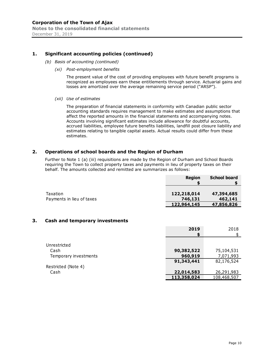**Notes to the consolidated financial statements**  December 31, 2019

# **1. Significant accounting policies (continued)**

- *(b) Basis of accounting (continued)* 
	- *(xi) Post-employment benefits*

The present value of the cost of providing employees with future benefit programs is recognized as employees earn these entitlements through service. Actuarial gains and losses are amortized over the average remaining service period ("ARSP").

*(xii) Use of estimates* 

The preparation of financial statements in conformity with Canadian public sector accounting standards requires management to make estimates and assumptions that affect the reported amounts in the financial statements and accompanying notes. Accounts involving significant estimates include allowance for doubtful accounts, accrued liabilities, employee future benefits liabilities, landfill post closure liability and estimates relating to tangible capital assets. Actual results could differ from these estimates.

# **2. Operations of school boards and the Region of Durham**

Further to Note 1 (a) (iii) requisitions are made by the Region of Durham and School Boards requiring the Town to collect property taxes and payments in lieu of property taxes on their behalf. The amounts collected and remitted are summarizes as follows:

|                           | <b>Region</b> | <b>School board</b> |
|---------------------------|---------------|---------------------|
| Taxation                  | 122,218,014   | 47,394,685          |
| Payments in lieu of taxes | 746,131       | 462,141             |
|                           | 122,964,145   | 47,856,826          |

## **3. Cash and temporary investments**

|                       | 2019        | 2018        |
|-----------------------|-------------|-------------|
|                       | S           |             |
|                       |             |             |
| Unrestricted          |             |             |
| Cash                  | 90,382,522  | 75,104,531  |
| Temporary investments | 960,919     | 7,071,993   |
|                       | 91,343,441  | 82,176,524  |
| Restricted (Note 4)   |             |             |
| Cash                  | 22,014,583  | 26,291,983  |
|                       | 113,358,024 | 108,468,507 |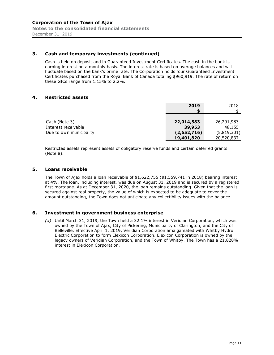## **3. Cash and temporary investments (continued)**

Cash is held on deposit and in Guaranteed Investment Certificates. The cash in the bank is earning interest on a monthly basis. The interest rate is based on average balances and will fluctuate based on the bank's prime rate. The Corporation holds four Guaranteed Investment Certificates purchased from the Royal Bank of Canada totaling \$960,919. The rate of return on these GICs range from 1.15% to 2.2%.

#### **4. Restricted assets**

|                         | 2019        | 2018        |
|-------------------------|-------------|-------------|
|                         |             |             |
| Cash (Note 3)           | 22,014,583  | 26,291,983  |
| Interest receivable     | 39,953      | 48,155      |
| Due to own municipality | (2,652,716) | (5,819,301) |
|                         | 19,401,820  | 20,520,837  |

Restricted assets represent assets of obligatory reserve funds and certain deferred grants (Note 8).

#### **5. Loans receivable**

The Town of Ajax holds a loan receivable of \$1,622,755 (\$1,559,741 in 2018) bearing interest at 4%. The loan, including interest, was due on August 31, 2019 and is secured by a registered first mortgage. As at December 31, 2020, the loan remains outstanding. Given that the loan is secured against real property, the value of which is expected to be adequate to cover the amount outstanding, the Town does not anticipate any collectibility issues with the balance.

#### **6. Investment in government business enterprise**

*(a)* Until March 31, 2019, the Town held a 32.1% interest in Veridian Corporation, which was owned by the Town of Ajax, City of Pickering, Municipality of Clarington, and the City of Belleville. Effective April 1, 2019, Veridian Corporation amalgamated with Whitby Hydro Electric Corporation to form Elexicon Corporation. Elexicon Corporation is owned by the legacy owners of Veridian Corporation, and the Town of Whitby. The Town has a 21.828% interest in Elexicon Corporation.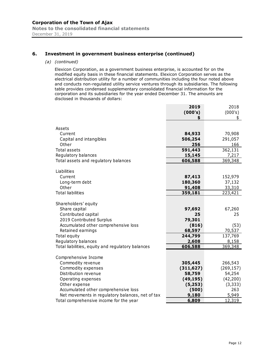#### **6. Investment in government business enterprise (continued)**

*(a) (continued)* 

Elexicon Corporation, as a government business enterprise, is accounted for on the modified equity basis in these financial statements. Elexicon Corporation serves as the electrical distribution utility for a number of communities including the four noted above and conducts non-regulated utility service ventures through its subsidiaries. The following table provides condensed supplementary consolidated financial information for the corporation and its subsidiaries for the year ended December 31. The amounts are disclosed in thousands of dollars:

| \$<br>\$<br>Assets<br>70,908<br>Current<br>84,933<br>291,057<br>506,254<br>Capital and intangibles<br>Other<br>256<br>166<br>362,131<br><b>Total assets</b><br>591,443<br>7,217<br>Regulatory balances<br>15,145<br>369,348<br>606,588<br>Total assets and regulatory balances<br>Liabilities<br>Current<br>152,979<br>87,413<br>180,360<br>37,132<br>Long-term debt<br>Other<br>33,310<br>91,408<br><b>Total liabilities</b><br>359,181<br>223,421<br>Shareholders' equity<br>Share capital<br>97,692<br>67,260<br>Contributed capital<br>25<br>25<br>2019 Contributed Surplus<br>79,301<br>Accumulated other comprehensive loss<br>(816)<br>(53)<br>70,537<br>Retained earnings<br>68,597<br>244,799<br>137,769<br>Total equity<br>Regulatory balances<br>8,158<br>2,608<br>Total liabilities, equity and regulatory balances<br>369,348<br>606,588<br>Comprehensive Income<br>Commodity revenue<br>305,445<br>266,543<br>Commodity expenses<br>(311, 627)<br>(269, 157)<br>Distribution revenue<br>54,254<br>58,759<br>Operating expenses<br>(49, 195)<br>(42, 200)<br>(3, 333)<br>Other expense<br>(5, 253)<br>263<br>Accumulated other comprehensive loss<br>(500)<br>Net movements in regulatory balances, net of tax<br>9,180<br>5,949 |                                         | 2019    | 2018    |
|-----------------------------------------------------------------------------------------------------------------------------------------------------------------------------------------------------------------------------------------------------------------------------------------------------------------------------------------------------------------------------------------------------------------------------------------------------------------------------------------------------------------------------------------------------------------------------------------------------------------------------------------------------------------------------------------------------------------------------------------------------------------------------------------------------------------------------------------------------------------------------------------------------------------------------------------------------------------------------------------------------------------------------------------------------------------------------------------------------------------------------------------------------------------------------------------------------------------------------------------------|-----------------------------------------|---------|---------|
|                                                                                                                                                                                                                                                                                                                                                                                                                                                                                                                                                                                                                                                                                                                                                                                                                                                                                                                                                                                                                                                                                                                                                                                                                                               |                                         | (000's) | (000's) |
|                                                                                                                                                                                                                                                                                                                                                                                                                                                                                                                                                                                                                                                                                                                                                                                                                                                                                                                                                                                                                                                                                                                                                                                                                                               |                                         |         |         |
|                                                                                                                                                                                                                                                                                                                                                                                                                                                                                                                                                                                                                                                                                                                                                                                                                                                                                                                                                                                                                                                                                                                                                                                                                                               |                                         |         |         |
|                                                                                                                                                                                                                                                                                                                                                                                                                                                                                                                                                                                                                                                                                                                                                                                                                                                                                                                                                                                                                                                                                                                                                                                                                                               |                                         |         |         |
|                                                                                                                                                                                                                                                                                                                                                                                                                                                                                                                                                                                                                                                                                                                                                                                                                                                                                                                                                                                                                                                                                                                                                                                                                                               |                                         |         |         |
|                                                                                                                                                                                                                                                                                                                                                                                                                                                                                                                                                                                                                                                                                                                                                                                                                                                                                                                                                                                                                                                                                                                                                                                                                                               |                                         |         |         |
|                                                                                                                                                                                                                                                                                                                                                                                                                                                                                                                                                                                                                                                                                                                                                                                                                                                                                                                                                                                                                                                                                                                                                                                                                                               |                                         |         |         |
|                                                                                                                                                                                                                                                                                                                                                                                                                                                                                                                                                                                                                                                                                                                                                                                                                                                                                                                                                                                                                                                                                                                                                                                                                                               |                                         |         |         |
|                                                                                                                                                                                                                                                                                                                                                                                                                                                                                                                                                                                                                                                                                                                                                                                                                                                                                                                                                                                                                                                                                                                                                                                                                                               |                                         |         |         |
|                                                                                                                                                                                                                                                                                                                                                                                                                                                                                                                                                                                                                                                                                                                                                                                                                                                                                                                                                                                                                                                                                                                                                                                                                                               |                                         |         |         |
|                                                                                                                                                                                                                                                                                                                                                                                                                                                                                                                                                                                                                                                                                                                                                                                                                                                                                                                                                                                                                                                                                                                                                                                                                                               |                                         |         |         |
|                                                                                                                                                                                                                                                                                                                                                                                                                                                                                                                                                                                                                                                                                                                                                                                                                                                                                                                                                                                                                                                                                                                                                                                                                                               |                                         |         |         |
|                                                                                                                                                                                                                                                                                                                                                                                                                                                                                                                                                                                                                                                                                                                                                                                                                                                                                                                                                                                                                                                                                                                                                                                                                                               |                                         |         |         |
|                                                                                                                                                                                                                                                                                                                                                                                                                                                                                                                                                                                                                                                                                                                                                                                                                                                                                                                                                                                                                                                                                                                                                                                                                                               |                                         |         |         |
|                                                                                                                                                                                                                                                                                                                                                                                                                                                                                                                                                                                                                                                                                                                                                                                                                                                                                                                                                                                                                                                                                                                                                                                                                                               |                                         |         |         |
|                                                                                                                                                                                                                                                                                                                                                                                                                                                                                                                                                                                                                                                                                                                                                                                                                                                                                                                                                                                                                                                                                                                                                                                                                                               |                                         |         |         |
|                                                                                                                                                                                                                                                                                                                                                                                                                                                                                                                                                                                                                                                                                                                                                                                                                                                                                                                                                                                                                                                                                                                                                                                                                                               |                                         |         |         |
|                                                                                                                                                                                                                                                                                                                                                                                                                                                                                                                                                                                                                                                                                                                                                                                                                                                                                                                                                                                                                                                                                                                                                                                                                                               |                                         |         |         |
|                                                                                                                                                                                                                                                                                                                                                                                                                                                                                                                                                                                                                                                                                                                                                                                                                                                                                                                                                                                                                                                                                                                                                                                                                                               |                                         |         |         |
|                                                                                                                                                                                                                                                                                                                                                                                                                                                                                                                                                                                                                                                                                                                                                                                                                                                                                                                                                                                                                                                                                                                                                                                                                                               |                                         |         |         |
|                                                                                                                                                                                                                                                                                                                                                                                                                                                                                                                                                                                                                                                                                                                                                                                                                                                                                                                                                                                                                                                                                                                                                                                                                                               |                                         |         |         |
|                                                                                                                                                                                                                                                                                                                                                                                                                                                                                                                                                                                                                                                                                                                                                                                                                                                                                                                                                                                                                                                                                                                                                                                                                                               |                                         |         |         |
|                                                                                                                                                                                                                                                                                                                                                                                                                                                                                                                                                                                                                                                                                                                                                                                                                                                                                                                                                                                                                                                                                                                                                                                                                                               |                                         |         |         |
|                                                                                                                                                                                                                                                                                                                                                                                                                                                                                                                                                                                                                                                                                                                                                                                                                                                                                                                                                                                                                                                                                                                                                                                                                                               |                                         |         |         |
|                                                                                                                                                                                                                                                                                                                                                                                                                                                                                                                                                                                                                                                                                                                                                                                                                                                                                                                                                                                                                                                                                                                                                                                                                                               |                                         |         |         |
|                                                                                                                                                                                                                                                                                                                                                                                                                                                                                                                                                                                                                                                                                                                                                                                                                                                                                                                                                                                                                                                                                                                                                                                                                                               |                                         |         |         |
|                                                                                                                                                                                                                                                                                                                                                                                                                                                                                                                                                                                                                                                                                                                                                                                                                                                                                                                                                                                                                                                                                                                                                                                                                                               |                                         |         |         |
|                                                                                                                                                                                                                                                                                                                                                                                                                                                                                                                                                                                                                                                                                                                                                                                                                                                                                                                                                                                                                                                                                                                                                                                                                                               |                                         |         |         |
|                                                                                                                                                                                                                                                                                                                                                                                                                                                                                                                                                                                                                                                                                                                                                                                                                                                                                                                                                                                                                                                                                                                                                                                                                                               |                                         |         |         |
|                                                                                                                                                                                                                                                                                                                                                                                                                                                                                                                                                                                                                                                                                                                                                                                                                                                                                                                                                                                                                                                                                                                                                                                                                                               |                                         |         |         |
|                                                                                                                                                                                                                                                                                                                                                                                                                                                                                                                                                                                                                                                                                                                                                                                                                                                                                                                                                                                                                                                                                                                                                                                                                                               |                                         |         |         |
|                                                                                                                                                                                                                                                                                                                                                                                                                                                                                                                                                                                                                                                                                                                                                                                                                                                                                                                                                                                                                                                                                                                                                                                                                                               |                                         |         |         |
|                                                                                                                                                                                                                                                                                                                                                                                                                                                                                                                                                                                                                                                                                                                                                                                                                                                                                                                                                                                                                                                                                                                                                                                                                                               |                                         |         |         |
|                                                                                                                                                                                                                                                                                                                                                                                                                                                                                                                                                                                                                                                                                                                                                                                                                                                                                                                                                                                                                                                                                                                                                                                                                                               | Total comprehensive income for the year | 6,809   | 12,319  |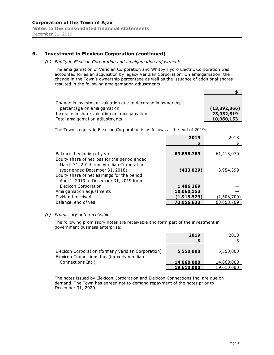## **6. Investment in Elexicon Corporation (continued)**

#### *(b) Equity in Elexicon Corporation and amalgamation adjustments*

The amalgamation of Veridian Corporation and Whitby Hydro Electric Corporation was accounted for as an acquisition by legacy Veridian Corporation. On amalgamation, the change in the Town's ownership percentage as well as the issuance of additional shares resulted in the following amalgamation adjustments:

| Change in investment valuation due to decrease in ownership |              |
|-------------------------------------------------------------|--------------|
| percentage on amalgamation                                  | (13,892,366) |
| Increase in share valuation on amalgamation                 | 23,952,519   |
| Total amalgamation adjustments                              | 10,060,153   |

The Town's equity in Elexicon Corporation is as follows at the end of 2019:

|                                                                                                                           | 2019<br>S         | 2018        |
|---------------------------------------------------------------------------------------------------------------------------|-------------------|-------------|
| Balance, beginning of year<br>Equity share of net loss for the period ended                                               | 63,858,769        | 61,413,070  |
| March 31, 2019 from Veridian Corporation<br>(year ended December 31, 2018)<br>Equity share of net earnings for the period | (433, 029)        | 3,954,399   |
| April 1, 2019 to December 31, 2019 from<br><b>Elexicon Corporation</b>                                                    | 1,486,269         |             |
| Amalgamation adjustments                                                                                                  | 10,060,153        |             |
| Dividend received                                                                                                         | (1, 915, 529)     | (1,508,700) |
| Balance, end of year                                                                                                      | <u>73,056,633</u> | 63,858,769  |

#### *(c) Promissory note receivable*

The following promissory notes are receivable and form part of the investment in government business enterprise:

|                                                                                                      | 2019       | 2018       |
|------------------------------------------------------------------------------------------------------|------------|------------|
| Elexicon Corporation (formerly Veridian Corporation)<br>Elexicon Connections Inc. (formerly Veridian | 5,550,000  | 5,550,000  |
| Connections Inc.)                                                                                    | 14,060,000 | 14,060,000 |
|                                                                                                      | 19,610,000 | 19,610,000 |

The notes issued by Elexicon Corporation and Elexicon Connections Inc. are due on demand. The Town has agreed not to demand repayment of the notes prior to December 31, 2020.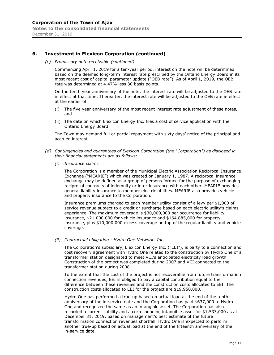#### **6. Investment in Elexicon Corporation (continued)**

*(c) Promissory note receivable (continued)* 

Commencing April 1, 2019 for a ten-year period, interest on the note will be determined based on the deemed long-term interest rate prescribed by the Ontario Energy Board in its most recent cost of capital parameter update ("OEB rate"). As of April 1, 2019, the OEB rate was determined at 4.47% less 30 basis points.

On the tenth year anniversary of the note, the interest rate will be adjusted to the OEB rate in effect at that time. Thereafter, the interest rate will be adjusted to the OEB rate in effect at the earlier of:

- (i) The five year anniversary of the most recent interest rate adjustment of these notes, and
- (ii) The date on which Elexicon Energy Inc. files a cost of service application with the Ontario Energy Board.

The Town may demand full or partial repayment with sixty days' notice of the principal and accrued interest.

- *(d) Contingencies and guarantees of Elexicon Corporation (the "Corporation") as disclosed in their financial statements are as follows:* 
	- *(i) Insurance claims*

The Corporation is a member of the Municipal Electric Association Reciprocal Insurance Exchange ("MEARIE") which was created on January 1, 1987. A reciprocal insurance exchange may be defined as a group of persons formed for the purpose of exchanging reciprocal contracts of indemnity or inter-insurance with each other. MEARIE provides general liability insurance to member electric utilities. MEARIE also provides vehicle and property insurance to the Corporation.

Insurance premiums charged to each member utility consist of a levy per \$1,000 of service revenue subject to a credit or surcharge based on each electric utility's claims experience. The maximum coverage is \$30,000,000 per occurrence for liability insurance, \$21,000,000 for vehicle insurance and \$164,885,000 for property insurance, plus \$10,000,000 excess coverage on top of the regular liability and vehicle coverage.

#### *(ii) Contractual obligation - Hydro One Networks Inc.*

The Corporation's subsidiary, Elexicon Energy Inc. ("EEI"), is party to a connection and cost recovery agreement with Hydro One related to the construction by Hydro One of a transformer station designated to meet VCI's anticipated electricity load growth. Construction of the project was completed during 2007 and VCI connected to the transformer station during 2008.

To the extent that the cost of the project is not recoverable from future transformation connection revenues, EEI is obliged to pay a capital contribution equal to the difference between these revenues and the construction costs allocated to EEI. The construction costs allocated to EEI for the project are \$19,950,000.

Hydro One has performed a true-up based on actual load at the end of the tenth anniversary of the in-service date and the Corporation has paid \$637,000 to Hydro One and recognized the same as an intangible asset. The Corporation has also recorded a current liability and a corresponding intangible asset for \$1,533,000 as at December 31, 2019, based on management's best estimate of the future transformation connection revenues shortfall. Hydro One is expected to perform another true-up based on actual load at the end of the fifteenth anniversary of the in-service date.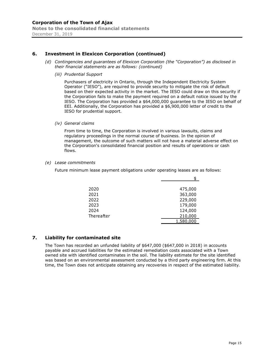# **Corporation of the Town of Ajax Notes to the consolidated financial statements**  December 31, 2019

#### **6. Investment in Elexicon Corporation (continued)**

- *(d) Contingencies and guarantees of Elexicon Corporation (the "Corporation") as disclosed in their financial statements are as follows: (continued)* 
	- *(iii) Prudential Support*

Purchasers of electricity in Ontario, through the Independent Electricity System Operator ("IESO"), are required to provide security to mitigate the risk of default based on their expected activity in the market. The IESO could draw on this security if the Corporation fails to make the payment required on a default notice issued by the IESO. The Corporation has provided a \$64,000,000 guarantee to the IESO on behalf of EEI. Additionally, the Corporation has provided a \$6,900,000 letter of credit to the IESO for prudential support.

*(iv) General claims* 

From time to time, the Corporation is involved in various lawsuits, claims and regulatory proceedings in the normal course of business. In the opinion of management, the outcome of such matters will not have a material adverse effect on the Corporation's consolidated financial position and results of operations or cash flows.

*(e) Lease commitments*

Future minimum lease payment obligations under operating leases are as follows:

| 2020       | 475,000   |
|------------|-----------|
| 2021       | 363,000   |
| 2022       | 229,000   |
| 2023       | 179,000   |
| 2024       | 124,000   |
| Thereafter | 210,000   |
|            | 1,580,000 |

## **7. Liability for contaminated site**

The Town has recorded an unfunded liability of \$647,000 (\$647,000 in 2018) in accounts payable and accrued liabilities for the estimated remediation costs associated with a Town owned site with identified contaminates in the soil. The liability estimate for the site identified was based on an environmental assessment conducted by a third party engineering firm. At this time, the Town does not anticipate obtaining any recoveries in respect of the estimated liability*.*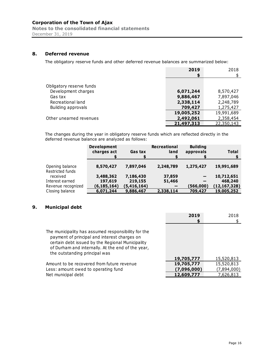**Notes to the consolidated financial statements**  December 31, 2019

#### **8. Deferred revenue**

The obligatory reserve funds and other deferred revenue balances are summarized below:

|                          | 2019       | 2018       |
|--------------------------|------------|------------|
|                          | S          |            |
|                          |            |            |
| Obligatory reserve funds |            |            |
| Development charges      | 6,071,244  | 8,570,427  |
| Gas tax                  | 9,886,467  | 7,897,046  |
| Recreational land        | 2,338,114  | 2,248,789  |
| Building approvals       | 709,427    | 1,275,427  |
|                          | 19,005,252 | 19,991,689 |
| Other unearned revenues  | 2,492,061  | 2,358,454  |
|                          | 21,497,313 | 22,350,143 |

The changes during the year in obligatory reserve funds which are reflected directly in the deferred revenue balance are analyzed as follows:

|                                     | <b>Development</b><br>charges act | Gas tax       | Recreational<br>land | <b>Building</b><br>approvals | <b>Total</b>   |
|-------------------------------------|-----------------------------------|---------------|----------------------|------------------------------|----------------|
| Opening balance<br>Restricted funds | 8,570,427                         | 7,897,046     | 2,248,789            | 1,275,427                    | 19,991,689     |
| received                            | 3,488,362                         | 7,186,430     | 37,859               |                              | 10,712,651     |
| Interest earned                     | 197,619                           | 219,155       | 51,466               |                              | 468,240        |
| Revenue recognized                  | (6, 185, 164)                     | (5, 416, 164) |                      | (566,000)                    | (12, 167, 328) |
| Closing balance                     | 6,071,244                         | 9,886,467     | 2,338,114            | 709,427                      | 19,005,252     |

# **9. Municipal debt**

|                                                                                                                                                                                                                                               | 2019<br>S         | 2018             |
|-----------------------------------------------------------------------------------------------------------------------------------------------------------------------------------------------------------------------------------------------|-------------------|------------------|
| The municipality has assumed responsibility for the<br>payment of principal and interest charges on<br>certain debt issued by the Regional Municipality<br>of Durham and internally. At the end of the year,<br>the outstanding principal was |                   |                  |
|                                                                                                                                                                                                                                               | 19,705,777        | 15,520,813       |
| Amount to be recovered from future revenue                                                                                                                                                                                                    | 19,705,777        | 15,520,813       |
| Less: amount owed to operating fund                                                                                                                                                                                                           | (7,096,000)       | (7,894,000)      |
| Net municipal debt                                                                                                                                                                                                                            | <u>12,609,777</u> | <u>7,626,813</u> |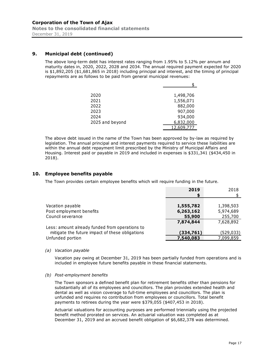## **9. Municipal debt (continued)**

The above long-term debt has interest rates ranging from 1.95% to 5.12% per annum and maturity dates in, 2020, 2022, 2028 and 2034. The annual required payment expected for 2020 is \$1,892,205 (\$1,681,865 in 2018) including principal and interest, and the timing of principal repayments are as follows to be paid from general municipal revenues:

| 2020            | 1,498,706  |
|-----------------|------------|
| 2021            | 1,556,071  |
| 2022            | 882,000    |
| 2023            | 907,000    |
| 2024            | 934,000    |
| 2025 and beyond | 6,832,000  |
|                 | 12,609,777 |

The above debt issued in the name of the Town has been approved by by-law as required by legislation. The annual principal and interest payments required to service these liabilities are within the annual debt repayment limit prescribed by the Ministry of Municipal Affairs and Housing. Interest paid or payable in 2019 and included in expenses is \$331,341 (\$434,450 in 2018).

#### **10. Employee benefits payable**

The Town provides certain employee benefits which will require funding in the future.

|                                                 | 2019      | 2018      |
|-------------------------------------------------|-----------|-----------|
|                                                 | S         |           |
|                                                 |           |           |
| Vacation payable                                | 1,555,782 | 1,398,503 |
| Post employment benefits                        | 6,263,162 | 5,974,689 |
| Council severance                               | 55,900    | 255,700   |
|                                                 | 7,874,844 | 7,628,892 |
| Less: amount already funded from operations to  |           |           |
| mitigate the future impact of these obligations | (334,761) | (529,033) |
| Unfunded portion                                | 7,540,083 | 7,099,859 |

*(a) Vacation payable* 

Vacation pay owing at December 31, 2019 has been partially funded from operations and is included in employee future benefits payable in these financial statements.

*(b) Post-employment benefits* 

The Town sponsors a defined benefit plan for retirement benefits other than pensions for substantially all of its employees and councillors. The plan provides extended health and dental as well as vision coverage to full-time employees and councillors. The plan is unfunded and requires no contribution from employees or councillors. Total benefit payments to retirees during the year were \$379,055 (\$407,453 in 2018).

Actuarial valuations for accounting purposes are performed triennially using the projected benefit method prorated on services. An actuarial valuation was completed as at December 31, 2019 and an accrued benefit obligation of \$6,682,378 was determined.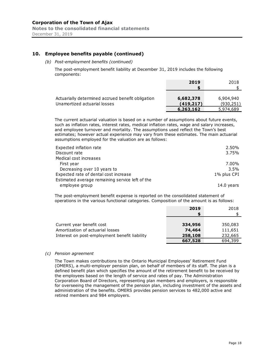#### **10. Employee benefits payable (continued)**

*(b) Post-employment benefits (continued)* 

The post-employment benefit liability at December 31, 2019 includes the following components:

|                                                                                   | 2019                                 | 2018                                 |
|-----------------------------------------------------------------------------------|--------------------------------------|--------------------------------------|
| Actuarially determined accrued benefit obligation<br>Unamortized actuarial losses | 6,682,378<br>(419, 217)<br>6,263,162 | 6,904,940<br>(930, 251)<br>5,974,689 |

The current actuarial valuation is based on a number of assumptions about future events, such as inflation rates, interest rates, medical inflation rates, wage and salary increases, and employee turnover and mortality. The assumptions used reflect the Town's best estimates; however actual experience may vary from these estimates. The main actuarial assumptions employed for the valuation are as follows:

| Expected inflation rate                         | 2.50%       |
|-------------------------------------------------|-------------|
| Discount rate                                   | 3.75%       |
| Medical cost increases                          |             |
| First year                                      | 7.00%       |
| Decreasing over 10 years to                     | $3.5\%$     |
| Expected rate of dental cost increase           | 1% plus CPI |
| Estimated average remaining service left of the |             |
| employee group                                  | 14.0 years  |

The post-employment benefit expense is reported on the consolidated statement of operations in the various functional categories. Composition of the amount is as follows:

|                                               | 2019    | 2018    |
|-----------------------------------------------|---------|---------|
|                                               |         |         |
|                                               |         |         |
| Current year benefit cost                     | 334,956 | 350,083 |
| Amortization of actuarial losses              | 74,464  | 111,651 |
| Interest on post-employment benefit liability | 258,108 | 232,665 |
|                                               | 667,528 | 694,399 |

#### *(c) Pension agreement*

The Town makes contributions to the Ontario Municipal Employees' Retirement Fund (OMERS), a multi-employer pension plan, on behalf of members of its staff. The plan is a defined benefit plan which specifies the amount of the retirement benefit to be received by the employees based on the length of service and rates of pay. The Administration Corporation Board of Directors, representing plan members and employers, is responsible for overseeing the management of the pension plan, including investment of the assets and administration of the benefits. OMERS provides pension services to 482,000 active and retired members and 984 employers.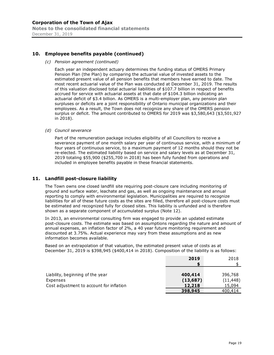# **10. Employee benefits payable (continued)**

*(c) Pension agreement (continued)* 

Each year an independent actuary determines the funding status of OMERS Primary Pension Plan (the Plan) by comparing the actuarial value of invested assets to the estimated present value of all pension benefits that members have earned to date. The most recent actuarial value of the Plan was conducted at December 31, 2019. The results of this valuation disclosed total actuarial liabilities of \$107.7 billion in respect of benefits accrued for service with actuarial assets at that date of \$104.3 billion indicating an actuarial deficit of \$3.4 billion. As OMERS is a multi-employer plan, any pension plan surpluses or deficits are a joint responsibility of Ontario municipal organizations and their employees. As a result, the Town does not recognize any share of the OMERS pension surplus or deficit. The amount contributed to OMERS for 2019 was \$3,580,643 (\$3,501,927 in 2018).

#### *(d) Council severance*

Part of the remuneration package includes eligibility of all Councillors to receive a severance payment of one month salary per year of continuous service, with a minimum of four years of continuous service, to a maximum payment of 12 months should they not be re-elected. The estimated liability based on service and salary levels as at December 31, 2019 totaling \$55,900 (\$255,700 in 2018) has been fully funded from operations and included in employee benefits payable in these financial statements.

# **11. Landfill post-closure liability**

The Town owns one closed landfill site requiring post-closure care including monitoring of ground and surface water, leachate and gas, as well as ongoing maintenance and annual reporting to comply with environmental legislation. Municipalities are required to recognize liabilities for all of these future costs as the sites are filled, therefore all post-closure costs must be estimated and recognized fully for closed sites. This liability is unfunded and is therefore shown as a separate component of accumulated surplus (Note 12).

In 2013, an environmental consulting firm was engaged to provide an updated estimate post-closure costs. The estimate was based on assumptions regarding the nature and amount of annual expenses, an inflation factor of 2%, a 40 year future monitoring requirement and discounted at 3.75%. Actual experience may vary from these assumptions and as new information becomes available.

Based on an extrapolation of that valuation, the estimated present value of costs as at December 31, 2019 is \$398,945 (\$400,414 in 2018). Composition of the liability is as follows:

|                                          | 2019      | 2018      |
|------------------------------------------|-----------|-----------|
|                                          |           |           |
| Liability, beginning of the year         | 400,414   | 396,768   |
| Expenses                                 | (13, 687) | (11, 448) |
| Cost adjustment to account for inflation | 12,218    | 15,094    |
|                                          | 398,945   | 400,414   |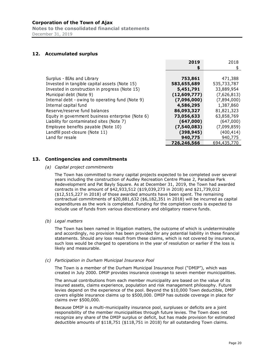**Notes to the consolidated financial statements**  December 31, 2019

#### **12. Accumulated surplus**

|                                                   | 2019         | 2018               |
|---------------------------------------------------|--------------|--------------------|
|                                                   | S            | S                  |
|                                                   |              |                    |
| Surplus - BIAs and Library                        | 753,861      | 471,388            |
| Invested in tangible capital assets (Note 15)     | 583,655,689  | 535,733,787        |
| Invested in construction in progress (Note 15)    | 5,451,791    | 33,889,954         |
| Municipal debt (Note 9)                           | (12,609,777) | (7,626,813)        |
| Internal debt - owing to operating fund (Note 9)  | (7,096,000)  | (7,894,000)        |
| Internal capital fund                             | 4,586,295    | 1,387,860          |
| Reserve/reserve fund balances                     | 86,093,327   | 81,821,323         |
| Equity in government business enterprise (Note 6) | 73,056,633   | 63,858,769         |
| Liability for contaminated sites (Note 7)         | (647,000)    | (647,000)          |
| Employee benefits payable (Note 10)               | (7,540,083)  | (7,099,859)        |
| Landfill post-closure (Note 11)                   | (398, 945)   | (400, 414)         |
| Land for resale                                   | 940,775      | 940,775            |
|                                                   | 726,246,566  | <u>694,435,770</u> |

#### **13. Contingencies and commitments**

*(a) Capital project commitments* 

The Town has committed to many capital projects expected to be completed over several years including the construction of Audley Recreation Centre Phase 2, Paradise Park Redevelopment and Pat Bayly Square. As at December 31, 2019, the Town had awarded contracts in the amount of \$42,933,512 (\$19,039,273 in 2018) and \$21,739,012 (\$12,515,227 in 2018) of those awarded amounts have been spent. The remaining contractual commitments of \$20,881,632 (\$6,182,351 in 2018) will be incurred as capital expenditures as the work is completed. Funding for the completion costs is expected to include use of funds from various discretionary and obligatory reserve funds.

#### *(b) Legal matters*

The Town has been named in litigation matters, the outcome of which is undeterminable and accordingly, no provision has been provided for any potential liability in these financial statements. Should any loss result from these claims, which is not covered by insurance, such loss would be charged to operations in the year of resolution or earlier if the loss is likely and measurable.

#### *(c) Participation in Durham Municipal Insurance Pool*

The Town is a member of the Durham Municipal Insurance Pool ("DMIP"), which was created in July 2000. DMIP provides insurance coverage to seven member municipalities.

The annual contributions from each member municipality are based on the value of its insured assets, claims experience, population and risk management philosophy. Future levies depend on the experience of the pool. Beyond the \$10,000 Town deductible, DMIP covers eligible insurance claims up to \$500,000. DMIP has outside coverage in place for claims over \$500,000.

Because DMIP is a multi-municipality insurance pool, surpluses or deficits are a joint responsibility of the member municipalities through future levies. The Town does not recognize any share of the DMIP surplus or deficit, but has made provision for estimated deductible amounts of \$118,751 (\$118,751 in 2018) for all outstanding Town claims.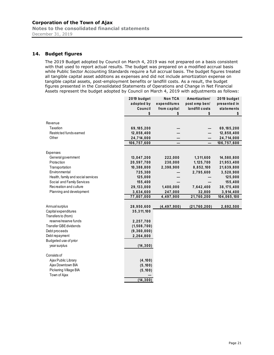# **14. Budget figures**

The 2019 Budget adopted by Council on March 4, 2019 was not prepared on a basis consistent with that used to report actual results. The budget was prepared on a modified accrual basis while Public Sector Accounting Standards require a full accrual basis. The budget figures treated all tangible capital asset additions as expenses and did not include amortization expense on tangible capital assets, post-employment benefits or landfill costs. As a result, the budget figures presented in the Consolidated Statements of Operations and Change in Net Financial Assets represent the budget adopted by Council on March 4, 2019 with adjustments as follows:

|                                    | 2019 budget   | <b>Non TCA</b> | Amortization/  | 2019 budget  |
|------------------------------------|---------------|----------------|----------------|--------------|
|                                    | adopted by    | expenditures   | post emp ben/  | presented in |
|                                    | Council       | from capital   | landfill costs | statements   |
|                                    | \$            | \$             | \$             | S.           |
| Revenue                            |               |                |                |              |
| Taxation                           | 69, 185, 200  |                |                | 69,185,200   |
| Restricted funds earned            | 12,858,400    |                |                | 12,858,400   |
| Other                              | 24,714,000    |                |                | 24,714,000   |
|                                    | 106,757,600   |                |                | 106,757,600  |
| <b>Expenses</b>                    |               |                |                |              |
| General government                 | 13,047,200    | 222,000        | 1,311,600      | 14,580,800   |
| Protection                         | 20,597,700    | 230,000        | 1,125,700      | 21,953,400   |
| Transportation                     | 10,388,800    | 2,398,900      | 8,852,100      | 21,639,800   |
| Environmental                      | 725,300       |                | 2,795,600      | 3,520,900    |
| Health, family and social services | 125,000       |                |                | 125,000      |
| Social and Family Services         | 155,400       |                |                | 155,400      |
| Recreation and culture             | 29, 133, 000  | 1,400,000      | 7,642,400      | 38, 175, 400 |
| Planning and development           | 3,634,600     | 247,000        | 32,800         | 3,914,400    |
|                                    | 77,807,000    | 4,497,900      | 21,760,200     | 104,065,100  |
|                                    |               |                |                |              |
| Annual surplus                     | 28,950,600    | (4, 497, 900)  | (21, 760, 200) | 2,692,500    |
| Capital expenditures               | 35, 311, 100  |                |                |              |
| Transfers to (from)                |               |                |                |              |
| reserve/reserve funds              | 2,257,700     |                |                |              |
| Transfer GBE dividends             | (1, 508, 700) |                |                |              |
| Debt proceeds                      | (9, 360, 000) |                |                |              |
| Debt repayment                     | 2,264,800     |                |                |              |
| Budgeted use of prior              |               |                |                |              |
| year surplus                       | (14, 300)     |                |                |              |
| Consists of                        |               |                |                |              |
| Ajax Public Library                | (4, 100)      |                |                |              |
| Ajax Downtown BIA                  | (5, 100)      |                |                |              |
| Pickering Village BIA              | (5, 100)      |                |                |              |
| Town of Ajax                       |               |                |                |              |
|                                    | (14, 300)     |                |                |              |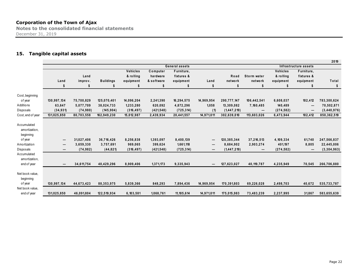# **15. Tangible capital assets**

|                   |                              |            |                  |                 |             |                       |                          |               |                          |            |            | 2019        |  |
|-------------------|------------------------------|------------|------------------|-----------------|-------------|-----------------------|--------------------------|---------------|--------------------------|------------|------------|-------------|--|
|                   |                              |            |                  |                 |             | <b>General assets</b> | Infrastructure assets    |               |                          |            |            |             |  |
|                   |                              |            |                  | <b>Vehicles</b> | Computer    | Furniture,            |                          |               |                          | Vehicles   | Furniture. |             |  |
|                   |                              | Land       |                  | & rolling       | hardware    | fixtures &            |                          | Road          | Storm water              | & rolling  | fixtures & |             |  |
|                   | Land                         | improv.    | <b>Buildings</b> | equipment       | & software  | equipment             | Land                     | network       | network                  | equipment  | equipment  | Total       |  |
|                   | S                            |            |                  | \$              |             | \$                    | \$.                      | S             |                          | \$         | S          | \$          |  |
|                   |                              |            |                  |                 |             |                       |                          |               |                          |            |            |             |  |
| Cost, beginning   |                              |            |                  |                 |             |                       |                          |               |                          |            |            |             |  |
| of year           | 130,997,134                  | 75,700,829 | 125,070,401      | 14,096,204      | 2,241,390   | 16,294,575            | 14,969,954               | 290,777,147   | 106,442,541              | 6,608,037  | 102, 412   | 783,300,624 |  |
| Additions         | 63,647                       | 5,077,709  | 38,024,733       | 1,233,280       | 620,092     | 4,872,296             | 1,058                    | 13,309,082    | 7,160,485                | 140,489    | -          | 70,502,871  |  |
| Disposals         | (34, 931)                    | (74,980)   | (145, 904)       | (316, 497)      | (421, 548)  | (725, 314)            | (1)                      | (1, 447, 219) | $\overline{\phantom{m}}$ | (274, 582) | -          | (3,440,976) |  |
| Cost, end of year | 131,025,850                  | 80,703,558 | 162,949,230      | 15,012,987      | 2,439,934   | 20,441,557            | 14,971,011               | 302,639,010   | 113,603,026              | 6,473,944  | 102, 412   | 850,362,519 |  |
|                   |                              |            |                  |                 |             |                       |                          |               |                          |            |            |             |  |
| Accumulated       |                              |            |                  |                 |             |                       |                          |               |                          |            |            |             |  |
| amortization,     |                              |            |                  |                 |             |                       |                          |               |                          |            |            |             |  |
| beginning         |                              |            |                  |                 |             |                       |                          |               |                          |            |            |             |  |
| of year           | $\overline{\phantom{m}}$     | 31,027,406 | 36,716,426       | 8,256,838       | 1,393,097   | 8,400,139             | -                        | 120,385,344   | 37,216,513               | 4,109,334  | 61,740     | 247,566,837 |  |
| Amortization      | $\qquad \qquad \blacksquare$ | 3,659,330  | 3,757,691        | 969,065         | 399,624     | 1,661,118             | -                        | 8,684,902     | 2,903,274                | 401,197    | 8,805      | 22,445,006  |  |
| Disposals         | $\qquad \qquad \blacksquare$ | (74, 982)  | (44, 821)        | (316, 497)      | (421, 548)  | (725, 314)            | $\overline{\phantom{0}}$ | (1, 447, 219) | -                        | (274, 582) | -          | (3,304,963) |  |
| Accumulated       |                              |            |                  |                 |             |                       |                          |               |                          |            |            |             |  |
| amortization.     |                              |            |                  |                 |             |                       |                          |               |                          |            |            |             |  |
| end of year       | $\overline{\phantom{m}}$     | 34,611,754 | 40,429,296       | 8,909,406       | 1, 371, 173 | 9,335,943             | -                        | 127,623,027   | 40,119,787               | 4,235,949  | 70,545     | 266,706,880 |  |
|                   |                              |            |                  |                 |             |                       |                          |               |                          |            |            |             |  |
| Net book value,   |                              |            |                  |                 |             |                       |                          |               |                          |            |            |             |  |
| beginning         |                              |            |                  |                 |             |                       |                          |               |                          |            |            |             |  |
| of year           | 130,997,134                  | 44,673,423 | 88,353,975       | 5,839,366       | 848,293     | 7,894,436             | 14,969,954               | 170,391,803   | 69,226,028               | 2,498,703  | 40,672     | 535,733,787 |  |
| Net book value,   |                              |            |                  |                 |             |                       |                          |               |                          |            |            |             |  |
| end of year       | 131,025,850                  | 46,091,804 | 122,519,934      | 6,103,581       | 1,068,761   | 11, 105, 614          | 14,971,011               | 175,015,983   | 73,483,239               | 2,237,995  | 31,867     | 583,655,639 |  |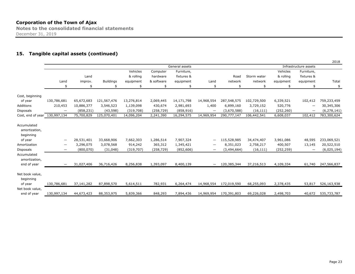# **15. Tangible capital assets (continued)**

|                                             |                   |            |                  |            |            |                |                          |             |             |            |                   | 2018          |  |
|---------------------------------------------|-------------------|------------|------------------|------------|------------|----------------|--------------------------|-------------|-------------|------------|-------------------|---------------|--|
|                                             |                   |            |                  |            |            | General assets | Infrastructure assets    |             |             |            |                   |               |  |
|                                             |                   |            |                  | Vehicles   | Computer   | Furniture,     |                          |             |             | Vehicles   | Furniture,        |               |  |
|                                             |                   | Land       |                  | & rolling  | hardware   | fixtures &     |                          | Road        | Storm water | & rolling  | fixtures &        |               |  |
|                                             | Land              | improv.    | <b>Buildings</b> | equipment  | & software | equipment      | Land                     | network     | network     | equipment  | equipment         | Total         |  |
|                                             | \$                | \$         |                  | \$         | \$         | \$             | \$                       | \$          |             | \$         | \$                | $\frac{1}{2}$ |  |
|                                             |                   |            |                  |            |            |                |                          |             |             |            |                   |               |  |
| Cost, beginning                             |                   |            |                  |            |            |                |                          |             |             |            |                   |               |  |
| of year                                     | 130,786,681       | 65,672,683 | 121,567,476      | 13,276,814 | 2,069,445  | 14,171,798     | 14,968,554               | 287,548,575 | 102,729,500 | 6,339,521  | 102,412           | 759,233,459   |  |
| Additions                                   | 210,453           | 10,886,377 | 3,546,523        | 1,139,098  | 430,674    | 2,981,693      | 1,400                    | 6,899,160   | 3,729,152   | 520,776    | —                 | 30,345,306    |  |
| <b>Disposals</b>                            | —                 | (858, 231) | (43, 598)        | (319,708)  | (258, 729) | (858, 916)     | —                        | (3,670,588) | (16, 111)   | (252, 260) | $\qquad \qquad -$ | (6, 278, 141) |  |
| Cost, end of year                           | 130,997,134       | 75,700,829 | 125,070,401      | 14,096,204 | 2,241,390  | 16,294,575     | 14,969,954               | 290,777,147 | 106,442,541 | 6,608,037  | 102,412           | 783,300,624   |  |
| Accumulated<br>amortization,<br>beginning   |                   |            |                  |            |            |                |                          |             |             |            |                   |               |  |
| of year                                     | $\qquad \qquad -$ | 28,531,401 | 33,668,906       | 7,662,303  | 1,286,514  | 7,907,324      | $\qquad \qquad -$        | 115,528,985 | 34,474,407  | 3,961,086  | 48,595            | 233,069,521   |  |
| Amortization                                | $\qquad \qquad -$ | 3,296,075  | 3,078,568        | 914,242    | 365,312    | 1,345,421      | $\overline{\phantom{0}}$ | 8,351,023   | 2,758,217   | 400,507    | 13,145            | 20,522,510    |  |
| <b>Disposals</b>                            | -                 | (800, 070) | (31, 048)        | (319, 707) | (258, 729) | (852, 606)     | —                        | (3,494,664) | (16, 111)   | (252, 259) | —                 | (6,025,194)   |  |
| Accumulated<br>amortization,<br>end of year |                   | 31,027,406 | 36,716,426       | 8,256,838  | 1,393,097  | 8,400,139      | —                        | 120,385,344 | 37,216,513  | 4,109,334  | 61,740            | 247,566,837   |  |
| Net book value,<br>beginning<br>of year     | 130,786,681       | 37,141,282 | 87,898,570       | 5,614,511  | 782,931    | 6,264,474      | 14,968,554               | 172,019,590 | 68,255,093  | 2,378,435  | 53,817            | 526,163,938   |  |
| Net book value,<br>end of year              | 130,997,134       | 44,673,423 | 88,353,975       | 5,839,366  | 848,293    | 7,894,436      | 14,969,954               | 170,391,803 | 69,226,028  | 2,498,703  | 40,672            | 535,733,787   |  |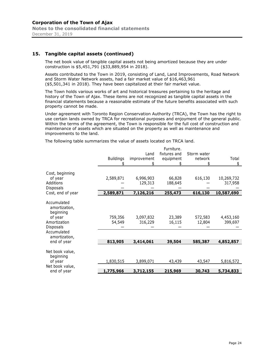## **15. Tangible capital assets (continued)**

The net book value of tangible capital assets not being amortized because they are under construction is \$5,451,791 (\$33,889,954 in 2018).

Assets contributed to the Town in 2019, consisting of Land, Land Improvements, Road Network and Storm Water Network assets, had a fair market value of \$16,463,961 (\$5,501,341 in 2018). They have been capitalized at their fair market value.

The Town holds various works of art and historical treasures pertaining to the heritage and history of the Town of Ajax. These items are not recognized as tangible capital assets in the financial statements because a reasonable estimate of the future benefits associated with such property cannot be made.

Under agreement with Toronto Region Conservation Authority (TRCA), the Town has the right to use certain lands owned by TRCA for recreational purposes and enjoyment of the general public. Within the terms of the agreement, the Town is responsible for the full cost of construction and maintenance of assets which are situated on the property as well as maintenance and improvements to the land.

The following table summarizes the value of assets located on TRCA land.

|                                           |                  |             | Furniture.   |             |            |
|-------------------------------------------|------------------|-------------|--------------|-------------|------------|
|                                           |                  | Land        | fixtures and | Storm water |            |
|                                           | <b>Buildings</b> | improvement | equipment    | network     | Total      |
|                                           |                  |             |              |             | \$         |
|                                           |                  |             |              |             |            |
| Cost, beginning                           |                  |             |              |             |            |
| of year                                   | 2,589,871        | 6,996,903   | 66,828       | 616,130     | 10,269,732 |
| Additions                                 |                  | 129,313     | 188,645      |             | 317,958    |
| Disposals                                 |                  |             |              |             |            |
| Cost, end of year                         | 2,589,871        | 7,126,216   | 255,473      | 616,130     | 10,587,690 |
|                                           |                  |             |              |             |            |
| Accumulated<br>amortization,<br>beginning |                  |             |              |             |            |
| of year                                   | 759,356          | 3,097,832   | 23,389       | 572,583     | 4,453,160  |
| Amortization                              | 54,549           | 316,229     | 16,115       | 12,804      | 399,697    |
| <b>Disposals</b>                          |                  |             |              |             |            |
| Accumulated<br>amortization,              |                  |             |              |             |            |
| end of year                               | 813,905          | 3,414,061   | 39,504       | 585,387     | 4,852,857  |
| Net book value,<br>beginning              |                  |             |              |             |            |
| of year                                   | 1,830,515        | 3,899,071   | 43,439       | 43,547      | 5,816,572  |
| Net book value,                           |                  |             |              |             |            |
| end of year                               | 1,775,966        | 3,712,155   | 215,969      | 30,743      | 5,734,833  |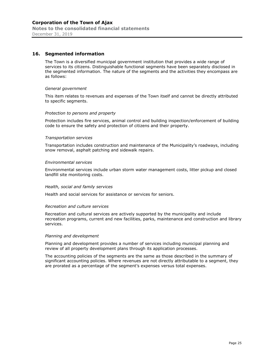#### **16. Segmented information**

The Town is a diversified municipal government institution that provides a wide range of services to its citizens. Distinguishable functional segments have been separately disclosed in the segmented information. The nature of the segments and the activities they encompass are as follows:

#### *General government*

This item relates to revenues and expenses of the Town itself and cannot be directly attributed to specific segments.

#### *Protection to persons and property*

Protection includes fire services, animal control and building inspection/enforcement of building code to ensure the safety and protection of citizens and their property.

#### *Transportation services*

Transportation includes construction and maintenance of the Municipality's roadways, including snow removal, asphalt patching and sidewalk repairs.

#### *Environmental services*

Environmental services include urban storm water management costs, litter pickup and closed landfill site monitoring costs.

#### *Health, social and family services*

Health and social services for assistance or services for seniors.

#### *Recreation and culture services*

Recreation and cultural services are actively supported by the municipality and include recreation programs, current and new facilities, parks, maintenance and construction and library services.

#### *Planning and development*

Planning and development provides a number of services including municipal planning and review of all property development plans through its application processes.

The accounting policies of the segments are the same as those described in the summary of significant accounting policies. Where revenues are not directly attributable to a segment, they are prorated as a percentage of the segment's expenses versus total expenses.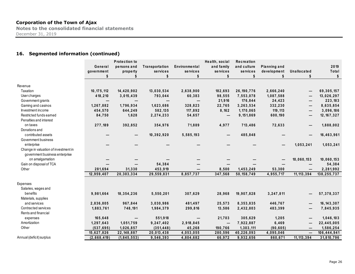**Notes to the consolidated financial statements**  December 31, 2019

# **16. Segmented information (continued)**

|                                         |              | <b>Protection to</b> |                |               | Health, social | <b>Recreation</b> |                     |                          |              |
|-----------------------------------------|--------------|----------------------|----------------|---------------|----------------|-------------------|---------------------|--------------------------|--------------|
|                                         | General      | persons and          | Transportation | Environmental | and family     | and culture       | <b>Planning and</b> |                          | 2019         |
|                                         | government   | property             | services       | services      | services       | services          | development         | Unallocated              | Total        |
|                                         |              | \$                   | \$             |               | \$             | \$                | \$                  |                          | \$           |
| Revenue                                 |              |                      |                |               |                |                   |                     |                          |              |
| Taxation                                | 10, 175, 112 | 14,420,902           | 13,030,534     | 2,638,900     | 182,693        | 26, 190, 776      | 2,666,240           |                          | 69,305,157   |
| <b>User charges</b>                     | 418,210      | 3,015,439            | 793,044        | 60,383        | 98,555         | 7,553,078         | 1,087,588           |                          | 13,026,297   |
| Government grants                       |              |                      |                |               | 21,916         | 176,844           | 24,423              |                          | 223,183      |
|                                         |              |                      |                |               |                |                   |                     |                          |              |
| Gaming and casinos<br>Investment income | 1,267,882    | 1,796,934            | 1,623,686      | 328,823       | 22,765         | 3,263,534         | 332,230             |                          | 8,635,854    |
|                                         | 454,570      | 644,249              | 582,135        | 117,892       | 8,162          | 1,170,065         | 119,113             |                          | 3,096,186    |
| Restricted funds earned                 | 84,750       | 1,628                | 2,274,233      | 54,657        |                | 9, 151, 869       | 600,190             |                          | 12, 167, 327 |
| Penalties and interest                  |              |                      |                |               |                |                   |                     |                          |              |
| on taxes                                | 277,189      | 392,852              | 354,976        | 71,889        | 4,977          | 713,486           | 72,633              | -                        | 1,888,002    |
| Donations and                           |              |                      |                |               |                |                   |                     |                          |              |
| contributed assets                      |              | $\qquad \qquad -$    | 10,392,920     | 5,585,193     |                | 485,848           |                     | $\overline{\phantom{0}}$ | 16,463,961   |
| Government business                     |              |                      |                |               |                |                   |                     |                          |              |
| enterprise                              |              |                      |                |               |                |                   | -                   | 1,053,241                | 1,053,241    |
| Change in valuation of investment in    |              |                      |                |               |                |                   |                     |                          |              |
| government business enterprise          |              |                      |                |               |                |                   |                     |                          |              |
| on amalgamation                         |              |                      |                |               |                |                   |                     | 10,060,153               | 10,060,153   |
| Gain on disposal of TCA                 |              |                      | 54,384         |               |                |                   |                     |                          | 54,384       |
| Other                                   | 281,694      | 31,330               | 453,919        |               | 8,500          | 1,453,249         | 53,300              |                          | 2,281,992    |
|                                         | 12,959,407   | 20,303,334           | 29,559,831     | 8,857,737     | 347,568        | 50, 158, 749      | 4,955,717           | 11, 113, 394             | 138,255,737  |
| Expenses                                |              |                      |                |               |                |                   |                     |                          |              |
| Salaries, wages and                     |              |                      |                |               |                |                   |                     |                          |              |
| benefits                                | 9,981,664    | 18, 354, 236         | 5,550,201      | 307,629       | 28,968         | 19,907,828        | 3,247,811           |                          | 57, 378, 337 |
| Materials, supplies                     |              |                      |                |               |                |                   |                     |                          |              |
| and services                            | 2,836,805    | 967,844              | 3,030,986      | 481,497       | 25,573         | 8,353,835         | 446,767             |                          | 16, 143, 307 |
| Contracted services                     | 1,883,761    | 748,191              | 1,984,379      | 299,816       | 13,586         | 2,432,803         | 483,399             |                          | 7,845,935    |
| Rents and financial                     |              |                      |                |               |                |                   |                     |                          |              |
| expenses                                | 165,648      |                      | 551,918        |               | 21,703         | 305,629           | 1,205               |                          | 1,046,103    |
| Amortization                            | 1,297,643    | 1,051,759            | 9,247,402      | 2,918,845     |                | 7,922,887         | 6,469               |                          | 22,445,005   |
| Other                                   | (537, 695)   | 1,026,857            | (351, 448)     | 45,268        | 190,766        | 1,303,111         | (90, 605)           |                          | 1,586,254    |
|                                         | 15,627,826   | 22, 148, 887         | 20,013,438     | 4,053,055     | 280,596        | 40,226,093        | 4,095,046           | $\overline{\phantom{0}}$ | 106,444,941  |
| Annual (deficit) surplus                | (2,668,419)  | (1, 845, 553)        | 9,546,393      | 4,804,682     | 66,972         | 9,932,656         | 860,671             | 11, 113, 394             | 31,810,796   |
|                                         |              |                      |                |               |                |                   |                     |                          |              |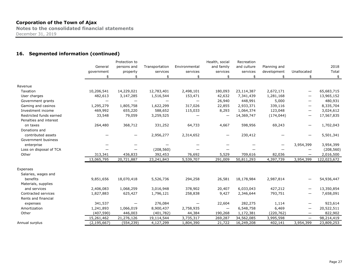**Notes to the consolidated financial statements**  December 31, 2019

# **16. Segmented information (continued)**

|                                     |                          | Protection to            |                          |               | Health, social  | Recreation  |              |                          |             |
|-------------------------------------|--------------------------|--------------------------|--------------------------|---------------|-----------------|-------------|--------------|--------------------------|-------------|
|                                     | General                  | persons and              | Transportation           | Environmental | and family      | and culture | Planning and |                          | 2018        |
|                                     | government               | property                 | services                 | services      | services        | services    | development  | Unallocated              | Total       |
|                                     | \$                       | \$                       | \$                       | \$            | \$              | \$          | \$           | \$                       | \$          |
| Revenue                             |                          |                          |                          |               |                 |             |              |                          |             |
| Taxation                            | 10,206,541               | 14,229,021               | 12,783,401               | 2,498,101     | 180,093         | 23,114,387  | 2,672,171    |                          | 65,683,715  |
| User charges                        | 482,613                  | 3,147,285                | 1,516,544                | 153,471       | 42,632          | 7,341,439   | 1,281,168    | $\overline{\phantom{0}}$ | 13,965,152  |
| Government grants                   | $\overline{\phantom{m}}$ | $\overline{\phantom{m}}$ | $\overline{\phantom{m}}$ |               | 26,940          | 448,991     | 5,000        | $\overline{\phantom{0}}$ | 480,931     |
| Gaming and casinos                  | 1,295,279                | 1,805,758                | 1,622,299                | 317,026       | 22,855          | 2,933,371   | 339,116      |                          | 8,335,704   |
| Investment income                   | 469,992                  | 655,220                  | 588,652                  | 115,033       | 8,293           | 1,064,374   | 123,048      |                          | 3,024,612   |
| Restricted funds earned             | 33,548                   | 79,059                   | 3,259,525                |               |                 | 14,369,747  | (174, 044)   | $\overline{\phantom{0}}$ | 17,567,835  |
| Penalties and interest<br>on taxes  | 264,480                  | 368,712                  | 331,252                  | 64,733        | 4,667           | 598,956     | 69,243       | $\qquad \qquad -$        | 1,702,043   |
| Donations and<br>contributed assets |                          |                          | 2,956,277                | 2,314,652     | $\qquad \qquad$ | 230,412     |              | $\qquad \qquad$          | 5,501,341   |
| Government business                 |                          |                          |                          |               |                 |             |              |                          |             |
| enterprise                          |                          |                          |                          |               |                 |             |              | 3,954,399                | 3,954,399   |
| Loss on disposal of TCA             |                          |                          | (208, 560)               |               |                 |             |              |                          | (208, 560)  |
| Other                               | 313,341                  | 436,833                  | 392,453                  | 76,692        | 5,529           | 709,616     | 82,036       |                          | 2,016,500   |
|                                     | 13,065,795               | 20,721,887               | 23, 241, 843             | 5,539,707     | 291,009         | 50,811,293  | 4,397,739    | 3,954,399                | 122,023,672 |
| Expenses                            |                          |                          |                          |               |                 |             |              |                          |             |
| Salaries, wages and                 |                          |                          |                          |               |                 |             |              |                          |             |
| benefits                            | 9,851,656                | 18,070,418               | 5,526,736                | 294,258       | 26,581          | 18,178,984  | 2,987,814    |                          | 54,936,447  |
| Materials, supplies                 |                          |                          |                          |               |                 |             |              |                          |             |
| and services                        | 2,406,083                | 1,068,259                | 3,016,948                | 378,902       | 20,407          | 6,033,043   | 427,212      | $\qquad \qquad -$        | 13,350,854  |
| Contracted services                 | 1,827,883                | 625,427                  | 1,796,121                | 258,838       | 9,427           | 2,346,644   | 793,751      |                          | 7,658,091   |
| Rents and financial                 |                          |                          |                          |               |                 |             |              |                          |             |
| expenses                            | 341,537                  |                          | 276,084                  |               | 22,604          | 282,275     | 1,114        | $\overline{\phantom{0}}$ | 923,614     |
| Amortization                        | 1,241,893                | 1,066,019                | 8,900,437                | 2,758,935     |                 | 6,548,758   | 6,469        | $\overline{\phantom{m}}$ | 20,522,511  |
| Other                               | (407, 590)               | 446,003                  | (401, 782)               | 44,384        | 190,268         | 1,172,381   | (220, 762)   | $\qquad \qquad -$        | 822,902     |
|                                     | 15,261,462               | 21,276,126               | 19,114,544               | 3,735,317     | 269,287         | 34,562,085  | 3,995,598    |                          | 98,214,419  |
| Annual surplus                      | (2, 195, 667)            | (554, 239)               | 4,127,299                | 1,804,390     | 21,722          | 16,249,208  | 402,141      | 3,954,399                | 23,809,253  |